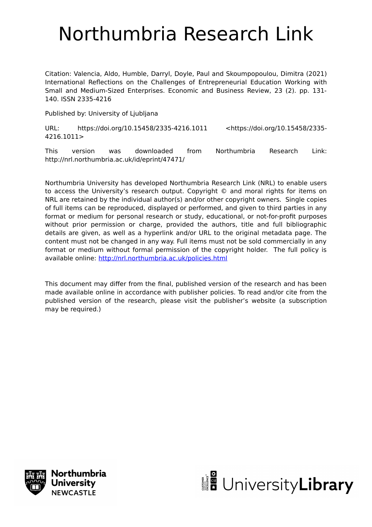# Northumbria Research Link

Citation: Valencia, Aldo, Humble, Darryl, Doyle, Paul and Skoumpopoulou, Dimitra (2021) International Reflections on the Challenges of Entrepreneurial Education Working with Small and Medium-Sized Enterprises. Economic and Business Review, 23 (2). pp. 131- 140. ISSN 2335-4216

Published by: University of Ljubljana

URL: https://doi.org/10.15458/2335-4216.1011 <https://doi.org/10.15458/2335- 4216.1011>

This version was downloaded from Northumbria Research Link: http://nrl.northumbria.ac.uk/id/eprint/47471/

Northumbria University has developed Northumbria Research Link (NRL) to enable users to access the University's research output. Copyright © and moral rights for items on NRL are retained by the individual author(s) and/or other copyright owners. Single copies of full items can be reproduced, displayed or performed, and given to third parties in any format or medium for personal research or study, educational, or not-for-profit purposes without prior permission or charge, provided the authors, title and full bibliographic details are given, as well as a hyperlink and/or URL to the original metadata page. The content must not be changed in any way. Full items must not be sold commercially in any format or medium without formal permission of the copyright holder. The full policy is available online:<http://nrl.northumbria.ac.uk/policies.html>

This document may differ from the final, published version of the research and has been made available online in accordance with publisher policies. To read and/or cite from the published version of the research, please visit the publisher's website (a subscription may be required.)



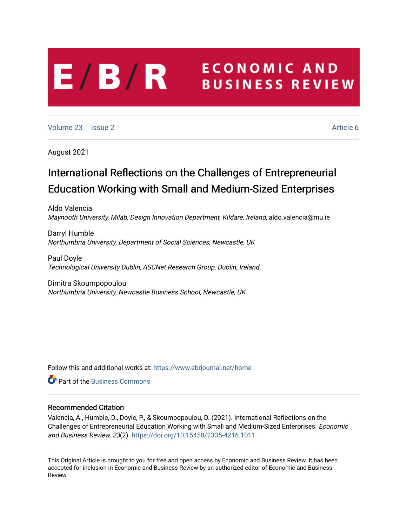# **ECONOMIC AND**  $E/B/R$ **BUSINESS REVIEW**

[Volume 23](https://www.ebrjournal.net/home/vol23) | [Issue 2](https://www.ebrjournal.net/home/vol23/iss2) Article 6

August 2021

# International Reflections on the Challenges of Entrepreneurial Education Working with Small and Medium-Sized Enterprises

Aldo Valencia Maynooth University, Milab, Design Innovation Department, Kildare, Ireland, aldo.valencia@mu.ie

Darryl Humble Northumbria University, Department of Social Sciences, Newcastle, UK

Paul Doyle Technological University Dublin, ASCNet Research Group, Dublin, Ireland

Dimitra Skoumpopoulou Northumbria University, Newcastle Business School, Newcastle, UK

Follow this and additional works at: [https://www.ebrjournal.net/home](https://www.ebrjournal.net/home?utm_source=www.ebrjournal.net%2Fhome%2Fvol23%2Fiss2%2F6&utm_medium=PDF&utm_campaign=PDFCoverPages) 

**C** Part of the [Business Commons](http://network.bepress.com/hgg/discipline/622?utm_source=www.ebrjournal.net%2Fhome%2Fvol23%2Fiss2%2F6&utm_medium=PDF&utm_campaign=PDFCoverPages)

# Recommended Citation

Valencia, A., Humble, D., Doyle, P., & Skoumpopoulou, D. (2021). International Reflections on the Challenges of Entrepreneurial Education Working with Small and Medium-Sized Enterprises. Economic and Business Review, 23(2).<https://doi.org/10.15458/2335-4216.1011>

This Original Article is brought to you for free and open access by Economic and Business Review. It has been accepted for inclusion in Economic and Business Review by an authorized editor of Economic and Business Review.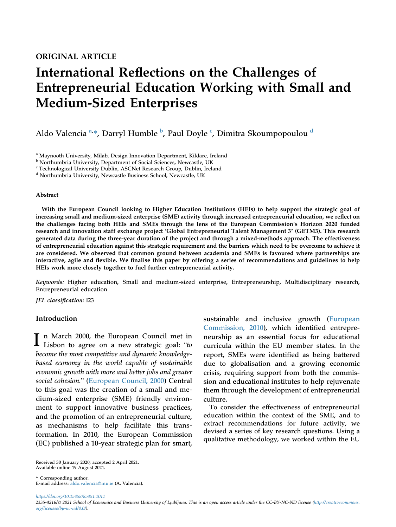# International Reflections on the Challenges of Entrepreneurial Education Working with Small and Medium-Sized Enterprises

Aldo V[a](#page-2-0)lencia <sup>a,</sup>\*, Darryl Hum[b](#page-2-1)le <sup>b</sup>, Paul Doyle <sup>[c](#page-2-2)</sup>, Dimitra Skoumpopoulou <sup>[d](#page-2-3)</sup>

<span id="page-2-0"></span><sup>a</sup> Maynooth University, Milab, Design Innovation Department, Kildare, Ireland

<span id="page-2-1"></span><sup>b</sup> Northumbria University, Department of Social Sciences, Newcastle, UK

<span id="page-2-2"></span><sup>c</sup> Technological University Dublin, ASCNet Research Group, Dublin, Ireland

<span id="page-2-3"></span><sup>d</sup> Northumbria University, Newcastle Business School, Newcastle, UK

#### Abstract

With the European Council looking to Higher Education Institutions (HEIs) to help support the strategic goal of increasing small and medium-sized enterprise (SME) activity through increased entrepreneurial education, we reflect on the challenges facing both HEIs and SMEs through the lens of the European Commission's Horizon 2020 funded research and innovation staff exchange project 'Global Entrepreneurial Talent Management 3' (GETM3). This research generated data during the three-year duration of the project and through a mixed-methods approach. The effectiveness of entrepreneurial education against this strategic requirement and the barriers which need to be overcome to achieve it are considered. We observed that common ground between academia and SMEs is favoured where partnerships are interactive, agile and flexible. We finalise this paper by offering a series of recommendations and guidelines to help HEIs work more closely together to fuel further entrepreneurial activity.

Keywords: Higher education, Small and medium-sized enterprise, Entrepreneurship, Multidisciplinary research, Entrepreneurial education

JEL classification: I23

# Introduction

I n March 2000, the European Council met in<br>Lisbon to agree on a new strategic goal: "to become the most competitive and dynamic knowledgebased economy in the world capable of sustainable economic growth with more and better jobs and greater social cohesion." [\(European Council, 2000\)](#page-10-0) Central to this goal was the creation of a small and medium-sized enterprise (SME) friendly environment to support innovative business practices, and the promotion of an entrepreneurial culture, as mechanisms to help facilitate this transformation. In 2010, the European Commission (EC) published a 10-year strategic plan for smart,

sustainable and inclusive growth [\(European](#page-10-1) [Commission, 2010](#page-10-1)), which identified entrepreneurship as an essential focus for educational curricula within the EU member states. In the report, SMEs were identified as being battered due to globalisation and a growing economic crisis, requiring support from both the commission and educational institutes to help rejuvenate them through the development of entrepreneurial culture.

To consider the effectiveness of entrepreneurial education within the context of the SME, and to extract recommendations for future activity, we devised a series of key research questions. Using a qualitative methodology, we worked within the EU

Received 30 January 2020; accepted 2 April 2021. Available online 19 August 2021.

\* Corresponding author. E-mail address: [aldo.valencia@mu.ie](mailto:aldo.valencia@mu.ie) (A. Valencia).

https://doi.org/10.15458/85451.1011 2335-4216/© 2021 School of Economics and Business University of Ljubljana. This is an open access article under the CC-BY-NC-ND license [\(http://creativecommons.](http://creativecommons.org/licenses/by-nc-nd/4.0/) [org/licenses/by-nc-nd/4.0/](http://creativecommons.org/licenses/by-nc-nd/4.0/)).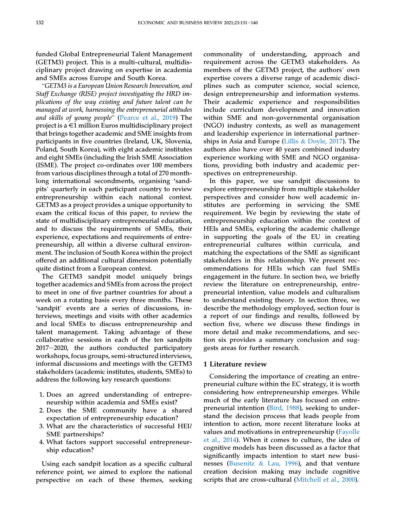funded Global Entrepreneurial Talent Management (GETM3) project. This is a multi-cultural, multidisciplinary project drawing on expertise in academia "and SMEs across Europe and South Korea.

GETM3 is a European Union Research Innovation, and Staff Exchange (RISE) project investigating the HRD implications of the way existing and future talent can be managed at work, harnessing the entrepreneurial attitudes and skills of young people" [\(Pearce et al., 2019](#page-11-0)) The project is a  $\in$ 1 million Euros multidisciplinary project that brings together academic and SME insights from participants in five countries (Ireland, UK, Slovenia, Poland, South Korea), with eight academic institutes and eight SMEs (including the Irish SME Association (ISME). The project co-ordinates over 100 members from various disciplines through a total of 270 monthlong international secondments, organising 'sand-pits' quarterly in each participant country to review entrepreneurship within each national context. GETM3 as a project provides a unique opportunity to exam the critical focus of this paper, to review the state of multidisciplinary entrepreneurial education, and to discuss the requirements of SMEs, their experience, expectations and requirements of entrepreneurship, all within a diverse cultural environment. The inclusion of South Korea within the project offered an additional cultural dimension potentially quite distinct from a European context.

The GETM3 sandpit model uniquely brings together academics and SMEs from across the project to meet in one of five partner countries for about a week on a rotating basis every three months. These to meet in one of live partner countries for about a<br>week on a rotating basis every three months. These<br>'sandpit' events are a series of discussions, interviews, meetings and visits with other academics and local SMEs to discuss entrepreneurship and talent management. Taking advantage of these collaborative sessions in each of the ten sandpits 2017-2020, the authors conducted participatory workshops, focus groups, semi-structured interviews, informal discussions and meetings with the GETM3 stakeholders (academic institutes, students, SMEs) to address the following key research questions:

- 1. Does an agreed understanding of entrepreneurship within academia and SMEs exist?
- 2. Does the SME community have a shared expectation of entrepreneurship education?
- 3. What are the characteristics of successful HEI/ SME partnerships?
- 4. What factors support successful entrepreneurship education?

Using each sandpit location as a specific cultural reference point, we aimed to explore the national perspective on each of these themes, seeking

commonality of understanding, approach and requirement across the GETM3 stakeholders. As members of the GETM3 project, the authors' own expertise covers a diverse range of academic disciplines such as computer science, social science, design entrepreneurship and information systems. Their academic experience and responsibilities include curriculum development and innovation within SME and non-governmental organisation (NGO) industry contexts, as well as management and leadership experience in international partnerships in Asia and Europe [\(Lillis](#page-10-2) & [Doyle, 2017](#page-10-2)). The authors also have over 40 years combined industry experience working with SME and NGO organisations, providing both industry and academic perspectives on entrepreneurship.

In this paper, we use sandpit discussions to explore entrepreneurship from multiple stakeholder perspectives and consider how well academic institutes are performing in servicing the SME requirement. We begin by reviewing the state of entrepreneurship education within the context of HEIs and SMEs, exploring the academic challenge in supporting the goals of the EU in creating entrepreneurial cultures within curricula, and matching the expectations of the SME as significant stakeholders in this relationship. We present recommendations for HEIs which can fuel SMEs engagement in the future. In section two, we briefly review the literature on entrepreneurship, entrepreneurial intention, value models and culturalism to understand existing theory. In section three, we describe the methodology employed, section four is a report of our findings and results, followed by section five, where we discuss these findings in more detail and make recommendations, and section six provides a summary conclusion and suggests areas for further research.

### 1 Literature review

Considering the importance of creating an entrepreneurial culture within the EC strategy, it is worth considering how entrepreneurship emerges. While much of the early literature has focused on entrepreneurial intention ([Bird, 1988](#page-10-3)), seeking to understand the decision process that leads people from intention to action, more recent literature looks at values and motivations in entrepreneurship [\(Fayolle](#page-10-4) [et al., 2014\)](#page-10-4). When it comes to culture, the idea of cognitive models has been discussed as a factor that significantly impacts intention to start new businesses ([Busenitz](#page-10-5) & [Lau, 1996](#page-10-5)), and that venture creation decision making may include cognitive scripts that are cross-cultural ([Mitchell et al., 2000](#page-10-6)).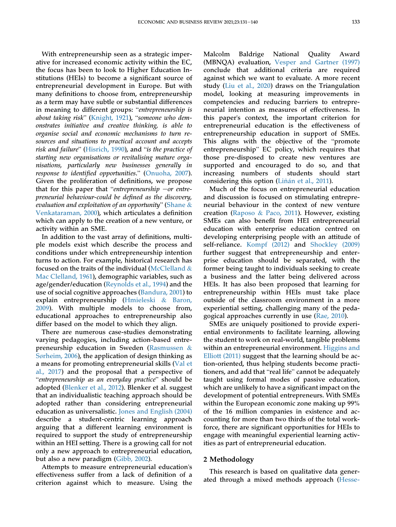With entrepreneurship seen as a strategic imperative for increased economic activity within the EC, the focus has been to look to Higher Education Institutions (HEIs) to become a significant source of entrepreneurial development in Europe. But with many definitions to choose from, entrepreneurship as a term may have subtle or substantial differences in meaning to different groups: "entrepreneurship is about taking risk" [\(Knight, 1921](#page-10-7)), "someone who demonstrates initiative and creative thinking, is able to organise social and economic mechanisms to turn resources and situations to practical account and accepts risk and failure" ([Hisrich, 1990](#page-10-8)), and "is the practice of starting new organisations or revitalising mature organisations, particularly new businesses generally in surting new organisations or reotiatising mature orga-<br>nisations, particularly new businesses generally in<br>response to identified opportunities." [\(Onuoha, 2007](#page-10-9)). response to *taentylea opportunities.* (Ontiona, 2007).<br>Given the proliferation of definitions, we propose<br>that for this paper that "entrepreneurship —or entrepreneurial behaviour-could be defined as the discovery, and tot this paper that *entrepreneursity* –or entre-<br>preneurial behaviour-could be defined as the discovery,<br>evaluation and exploitation of an opportunity" ([Shane](#page-11-1) & [Venkataraman, 2000](#page-11-1)), which articulates a definition which can apply to the creation of a new venture, or activity within an SME.

In addition to the vast array of definitions, multiple models exist which describe the process and conditions under which entrepreneurship intention turns to action. For example, historical research has focused on the traits of the individual [\(McClelland](#page-10-10)  $\&$ [Mac Clelland, 1961](#page-10-10)), demographic variables, such as age/gender/education [\(Reynolds et al., 1994\)](#page-11-2) and the use of social cognitive approaches [\(Bandura, 2001\)](#page-10-11) to explain entrepreneurship ([Hmieleski](#page-10-12) & [Baron,](#page-10-12) [2009\)](#page-10-12). With multiple models to choose from, educational approaches to entrepreneurship also differ based on the model to which they align.

There are numerous case-studies demonstrating varying pedagogies, including action-based entrepreneurship education in Sweden ([Rasmussen](#page-11-3) & Sø[rheim, 2006\)](#page-11-3), the application of design thinking as a means for promoting entrepreneurial skills ([Val et](#page-11-4) [al., 2017](#page-11-4)) and the proposal that a perspective of entrepreneurship as an everyday practice" should be adopted [\(Blenker et al., 2012\)](#page-10-13). Blenker et al. suggest that an individualistic teaching approach should be adopted rather than considering entrepreneurial education as universalistic. [Jones and English \(2004\)](#page-10-14) describe a student-centric learning approach arguing that a different learning environment is required to support the study of entrepreneurship within an HEI setting. There is a growing call for not only a new approach to entrepreneurial education, but also a new paradigm ([Gibb, 2002\)](#page-10-15).

Attempts to measure entrepreneurial education's effectiveness suffer from a lack of definition of a criterion against which to measure. Using the

Malcolm Baldrige National Quality Award (MBNQA) evaluation, [Vesper and Gartner \(1997\)](#page-11-5) conclude that additional criteria are required against which we want to evaluate. A more recent study [\(Liu et al., 2020\)](#page-10-16) draws on the Triangulation model, looking at measuring improvements in competencies and reducing barriers to entrepreneurial intention as measures of effectiveness. In this paper's context, the important criterion for entrepreneurial education is the effectiveness of entrepreneurship education in support of SMEs. entrepreneurial education is the enectiveness of<br>entrepreneurship education in support of SMEs.<br>This aligns with the objective of the "promote This aligns with the objective of the "promote entrepreneurship" EC policy, which requires that those pre-disposed to create new ventures are supported and encouraged to do so, and that increasing numbers of students should start considering this option [\(Li](#page-10-17)ñán et al., 2011).

Much of the focus on entrepreneurial education and discussion is focused on stimulating entrepreneurial behaviour in the context of new venture creation [\(Raposo](#page-11-6) & [Paco, 2011](#page-11-6)). However, existing SMEs can also benefit from HEI entrepreneurial education with enterprise education centred on developing enterprising people with an attitude of self-reliance. [Kompf \(2012\)](#page-10-18) and [Shockley \(2009\)](#page-11-7) further suggest that entrepreneurship and enterprise education should be separated, with the former being taught to individuals seeking to create a business and the latter being delivered across HEIs. It has also been proposed that learning for entrepreneurship within HEIs must take place outside of the classroom environment in a more experiential setting, challenging many of the pedagogical approaches currently in use ([Rae, 2010](#page-11-8)).

SMEs are uniquely positioned to provide experiential environments to facilitate learning, allowing the student to work on real-world, tangible problems within an entrepreneurial environment. [Higgins and](#page-10-19) [Elliott \(2011\)](#page-10-19) suggest that the learning should be action-oriented, thus helping students become practi-Efflott (2011) suggest that the learning should be ac-<br>tion-oriented, thus helping students become practi-<br>tioners, and add that "real life" cannot be adequately taught using formal modes of passive education, which are unlikely to have a significant impact on the development of potential entrepreneurs. With SMEs within the European economic zone making up 99% of the 16 million companies in existence and accounting for more than two thirds of the total workforce, there are significant opportunities for HEIs to engage with meaningful experiential learning activities as part of entrepreneurial education.

## 2 Methodology

This research is based on qualitative data generated through a mixed methods approach [\(Hesse-](#page-10-20)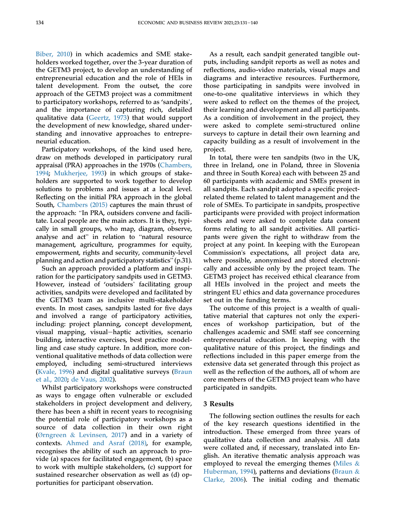[Biber, 2010\)](#page-10-20) in which academics and SME stakeholders worked together, over the 3-year duration of the GETM3 project, to develop an understanding of entrepreneurial education and the role of HEIs in talent development. From the outset, the core approach of the GETM3 project was a commitment talent development. From the outset, the core<br>approach of the GETM3 project was a commitment<br>to participatory workshops, referred to as 'sandpits', and the importance of capturing rich, detailed qualitative data ([Geertz, 1973\)](#page-10-21) that would support the development of new knowledge, shared understanding and innovative approaches to entrepreneurial education.

Participatory workshops, of the kind used here, draw on methods developed in participatory rural appraisal (PRA) approaches in the 1970s ([Chambers,](#page-10-22) [1994](#page-10-22); [Mukherjee, 1993\)](#page-10-23) in which groups of stakeholders are supported to work together to develop solutions to problems and issues at a local level. Reflecting on the initial PRA approach in the global South, [Chambers \(2015\)](#page-10-24) captures the main thrust of the approach: "In PRA, outsiders convene and facilitate. Local people are the main actors. It is they, typically in small groups, who map, diagram, observe, tate. Local people are the main actors. It is they, typi-<br>cally in small groups, who map, diagram, observe,<br>analyse and act" in relation to "natural resource management, agriculture, programmes for equity, empowerment, rights and security, community-level planning and action and participatory statistics" (p.31).

Such an approach provided a platform and inspiration for the participatory sandpits used in GETM3. Such an approach provided a platiorm and inspiration for the participatory sandpits used in GETM3.<br>However, instead of 'outsiders' facilitating group activities, sandpits were developed and facilitated by the GETM3 team as inclusive multi-stakeholder events. In most cases, sandpits lasted for five days and involved a range of participatory activities, including: project planning, concept development, visual mapping, visual-haptic activities, scenario building, interactive exercises, best practice modelling and case study capture. In addition, more conventional qualitative methods of data collection were employed, including semi-structured interviews [\(Kvale, 1996\)](#page-10-25) and digital qualitative surveys ([Braun](#page-10-26) [et al., 2020](#page-10-26); [de Vaus, 2002](#page-11-9)).

Whilst participatory workshops were constructed as ways to engage often vulnerable or excluded stakeholders in project development and delivery, there has been a shift in recent years to recognising the potential role of participatory workshops as a source of data collection in their own right (Ø[rngreen](#page-10-27) & [Levinsen, 2017\)](#page-10-27) and in a variety of contexts. [Ahmed and Asraf \(2018\)](#page-10-28), for example, recognises the ability of such an approach to provide (a) spaces for facilitated engagement, (b) space to work with multiple stakeholders, (c) support for sustained researcher observation as well as (d) opportunities for participant observation.

As a result, each sandpit generated tangible outputs, including sandpit reports as well as notes and reflections, audio-video materials, visual maps and diagrams and interactive resources. Furthermore, those participating in sandpits were involved in one-to-one qualitative interviews in which they were asked to reflect on the themes of the project, their learning and development and all participants. As a condition of involvement in the project, they were asked to complete semi-structured online surveys to capture in detail their own learning and capacity building as a result of involvement in the project.

In total, there were ten sandpits (two in the UK, three in Ireland, one in Poland, three in Slovenia and three in South Korea) each with between 25 and 60 participants with academic and SMEs present in all sandpits. Each sandpit adopted a specific projectrelated theme related to talent management and the role of SMEs. To participate in sandpits, prospective participants were provided with project information sheets and were asked to complete data consent forms relating to all sandpit activities. All participants were given the right to withdraw from the project at any point. In keeping with the European Commission's expectations, all project data are, where possible, anonymised and stored electronically and accessible only by the project team. The GETM3 project has received ethical clearance from all HEIs involved in the project and meets the stringent EU ethics and data governance procedures set out in the funding terms.

The outcome of this project is a wealth of qualitative material that captures not only the experiences of workshop participation, but of the challenges academic and SME staff see concerning entrepreneurial education. In keeping with the qualitative nature of this project, the findings and reflections included in this paper emerge from the extensive data set generated through this project as well as the reflection of the authors, all of whom are core members of the GETM3 project team who have participated in sandpits.

## 3 Results

The following section outlines the results for each of the key research questions identified in the introduction. These emerged from three years of qualitative data collection and analysis. All data were collated and, if necessary, translated into English. An iterative thematic analysis approach was employed to reveal the emerging themes ([Miles](#page-10-29) & [Huberman, 1994](#page-10-29)), patterns and deviations [\(Braun](#page-10-30) & [Clarke, 2006](#page-10-30)). The initial coding and thematic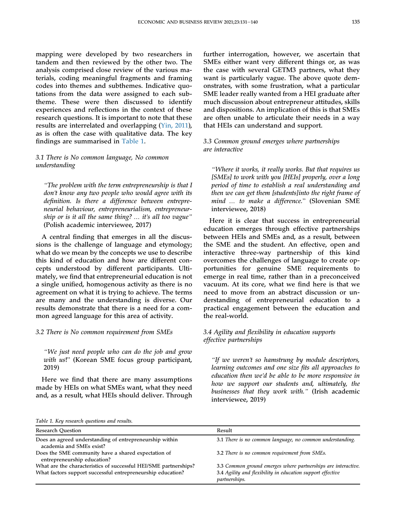mapping were developed by two researchers in tandem and then reviewed by the other two. The analysis comprised close review of the various materials, coding meaningful fragments and framing codes into themes and subthemes. Indicative quotations from the data were assigned to each subtheme. These were then discussed to identify experiences and reflections in the context of these research questions. It is important to note that these results are interrelated and overlapping [\(Yin, 2011](#page-11-10)), as is often the case with qualitative data. The key findings are summarised in [Table 1.](#page-6-0)

# 3.1 There is No common language, No common understanding

"The problem with the term entrepreneurship is that I don't know any two people who would agree with its definition. Is there a difference between entrepreneurial behaviour, entrepreneurialism, entrepreneurship or is it all the same thing? ... it's all too vague" (Polish academic interviewee, 2017)

A central finding that emerges in all the discussions is the challenge of language and etymology; what do we mean by the concepts we use to describe this kind of education and how are different concepts understood by different participants. Ultimately, we find that entrepreneurial education is not a single unified, homogenous activity as there is no agreement on what it is trying to achieve. The terms are many and the understanding is diverse. Our results demonstrate that there is a need for a common agreed language for this area of activity.

# 3.2 There is No common requirement from SMEs

"We just need people who can do the job and grow with us!" (Korean SME focus group participant, 2019)

Here we find that there are many assumptions made by HEIs on what SMEs want, what they need and, as a result, what HEIs should deliver. Through further interrogation, however, we ascertain that SMEs either want very different things or, as was the case with several GETM3 partners, what they want is particularly vague. The above quote demonstrates, with some frustration, what a particular SME leader really wanted from a HEI graduate after much discussion about entrepreneur attitudes, skills and dispositions. An implication of this is that SMEs are often unable to articulate their needs in a way that HEIs can understand and support.

3.3 Common ground emerges where partnerships are interactive

"Where it works, it really works. But that requires us [SMEs] to work with you [HEIs] properly, over a long period of time to establish a real understanding and then we can get them [students]into the right frame of mind … to make a difference." (Slovenian SME interviewee, 2018)

Here it is clear that success in entrepreneurial education emerges through effective partnerships between HEIs and SMEs and, as a result, between the SME and the student. An effective, open and interactive three-way partnership of this kind overcomes the challenges of language to create opportunities for genuine SME requirements to emerge in real time, rather than in a preconceived vacuum. At its core, what we find here is that we need to move from an abstract discussion or understanding of entrepreneurial education to a practical engagement between the education and the real-world.

# 3.4 Agility and flexibility in education supports effective partnerships

"If we weren't so hamstrung by module descriptors, learning outcomes and one size fits all approaches to education then we'd be able to be more responsive in how we support our students and, ultimately, the businesses that they work with." (Irish academic interviewee, 2019)

<span id="page-6-0"></span>Table 1. Key research questions and results.

| <b>Research Ouestion</b>                                                            | Result                                                                      |
|-------------------------------------------------------------------------------------|-----------------------------------------------------------------------------|
| Does an agreed understanding of entrepreneurship within<br>academia and SMEs exist? | 3.1 There is no common language, no common understanding.                   |
| Does the SME community have a shared expectation of<br>entrepreneurship education?  | 3.2 There is no common requirement from SMEs.                               |
| What are the characteristics of successful HEI/SME partnerships?                    | 3.3 Common ground emerges where partnerships are interactive.               |
| What factors support successful entrepreneurship education?                         | 3.4 Agility and flexibility in education support effective<br>partnerships. |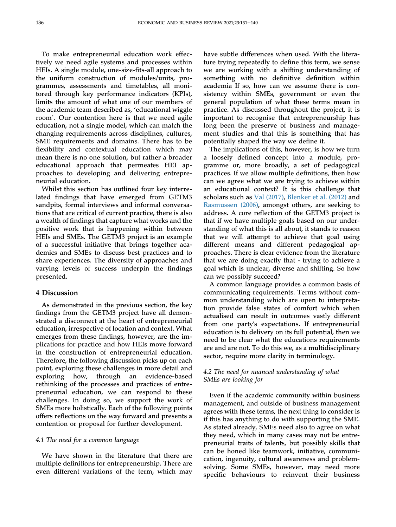To make entrepreneurial education work effectively we need agile systems and processes within HEIs. A single module, one-size-fits-all approach to the uniform construction of modules/units, programmes, assessments and timetables, all monitored through key performance indicators (KPIs), limits the amount of what one of our members of Innus the amount of what one of our members of<br>the academic team described as, 'educational wiggle<br>room'. Our contention here is that we need agile education, not a single model, which can match the changing requirements across disciplines, cultures, SME requirements and domains. There has to be flexibility and contextual education which may mean there is no one solution, but rather a broader educational approach that permeates HEI approaches to developing and delivering entrepreneurial education.

Whilst this section has outlined four key interrelated findings that have emerged from GETM3 sandpits, formal interviews and informal conversations that are critical of current practice, there is also a wealth of findings that capture what works and the positive work that is happening within between HEIs and SMEs. The GETM3 project is an example of a successful initiative that brings together academics and SMEs to discuss best practices and to share experiences. The diversity of approaches and varying levels of success underpin the findings presented.

## 4 Discussion

As demonstrated in the previous section, the key findings from the GETM3 project have all demonstrated a disconnect at the heart of entrepreneurial education, irrespective of location and context. What emerges from these findings, however, are the implications for practice and how HEIs move forward in the construction of entrepreneurial education. Therefore, the following discussion picks up on each point, exploring these challenges in more detail and exploring how, through an evidence-based rethinking of the processes and practices of entrepreneurial education, we can respond to these challenges. In doing so, we support the work of SMEs more holistically. Each of the following points offers reflections on the way forward and presents a contention or proposal for further development.

# 4.1 The need for a common language

We have shown in the literature that there are multiple definitions for entrepreneurship. There are even different variations of the term, which may

have subtle differences when used. With the literature trying repeatedly to define this term, we sense we are working with a shifting understanding of something with no definitive definition within academia If so, how can we assume there is consistency within SMEs, government or even the general population of what these terms mean in practice. As discussed throughout the project, it is important to recognise that entrepreneurship has long been the preserve of business and management studies and that this is something that has potentially shaped the way we define it.

The implications of this, however, is how we turn a loosely defined concept into a module, programme or, more broadly, a set of pedagogical practices. If we allow multiple definitions, then how can we agree what we are trying to achieve within an educational context? It is this challenge that scholars such as [Val \(2017\),](#page-11-4) [Blenker et al. \(2012\)](#page-10-13) and [Rasmussen \(2006\)](#page-11-3), amongst others, are seeking to address. A core reflection of the GETM3 project is that if we have multiple goals based on our understanding of what this is all about, it stands to reason that we will attempt to achieve that goal using different means and different pedagogical approaches. There is clear evidence from the literature that we are doing exactly that - trying to achieve a goal which is unclear, diverse and shifting. So how can we possibly succeed?

A common language provides a common basis of communicating requirements. Terms without common understanding which are open to interpretation provide false states of comfort which when actualised can result in outcomes vastly different from one party's expectations. If entrepreneurial education is to delivery on its full potential, then we need to be clear what the educations requirements are and are not. To do this we, as a multidisciplinary sector, require more clarity in terminology.

# 4.2 The need for nuanced understanding of what SMEs are looking for

Even if the academic community within business management, and outside of business management agrees with these terms, the next thing to consider is if this has anything to do with supporting the SME. As stated already, SMEs need also to agree on what they need, which in many cases may not be entrepreneurial traits of talents, but possibly skills that can be honed like teamwork, initiative, communication, ingenuity, cultural awareness and problemsolving. Some SMEs, however, may need more specific behaviours to reinvent their business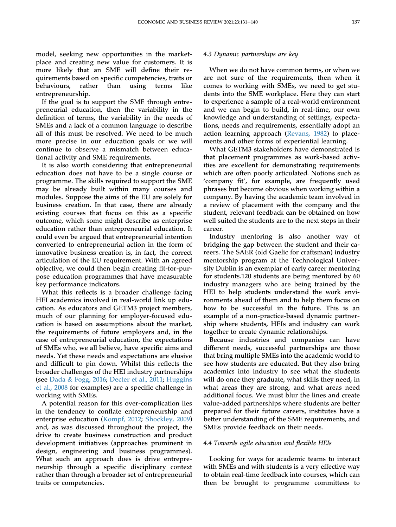model, seeking new opportunities in the marketplace and creating new value for customers. It is more likely that an SME will define their requirements based on specific competencies, traits or behaviours, rather than using terms like entrepreneurship.

If the goal is to support the SME through entrepreneurial education, then the variability in the definition of terms, the variability in the needs of SMEs and a lack of a common language to describe all of this must be resolved. We need to be much more precise in our education goals or we will continue to observe a mismatch between educational activity and SME requirements.

It is also worth considering that entrepreneurial education does not have to be a single course or programme. The skills required to support the SME may be already built within many courses and modules. Suppose the aims of the EU are solely for business creation. In that case, there are already existing courses that focus on this as a specific outcome, which some might describe as enterprise education rather than entrepreneurial education. It could even be argued that entrepreneurial intention converted to entrepreneurial action in the form of innovative business creation is, in fact, the correct articulation of the EU requirement. With an agreed objective, we could then begin creating fit-for-purpose education programmes that have measurable key performance indicators.

What this reflects is a broader challenge facing HEI academics involved in real-world link up education. As educators and GETM3 project members, much of our planning for employer-focused education is based on assumptions about the market, the requirements of future employers and, in the case of entrepreneurial education, the expectations of SMEs who, we all believe, have specific aims and needs. Yet these needs and expectations are elusive and difficult to pin down. Whilst this reflects the broader challenges of the HEI industry partnerships (see [Dada](#page-10-31) & [Fogg, 2016;](#page-10-31) [Decter et al., 2011](#page-10-32); [Huggins](#page-10-33) [et al., 2008](#page-10-33) for examples) are a specific challenge in working with SMEs.

A potential reason for this over-complication lies in the tendency to conflate entrepreneurship and enterprise education [\(Kompf, 2012](#page-10-18); [Shockley, 2009\)](#page-11-7) and, as was discussed throughout the project, the drive to create business construction and product development initiatives (approaches prominent in design, engineering and business programmes). What such an approach does is drive entrepreneurship through a specific disciplinary context rather than through a broader set of entrepreneurial traits or competencies.

#### 4.3 Dynamic partnerships are key

When we do not have common terms, or when we are not sure of the requirements, then when it comes to working with SMEs, we need to get students into the SME workplace. Here they can start to experience a sample of a real-world environment and we can begin to build, in real-time, our own knowledge and understanding of settings, expectations, needs and requirements, essentially adopt an action learning approach ([Revans, 1982\)](#page-11-11) to placements and other forms of experiential learning.

What GETM3 stakeholders have demonstrated is that placement programmes as work-based activities are excellent for demonstrating requirements which are often poorly articulated. Notions such as nes are excenent for demonstrating requirements<br>which are often poorly articulated. Notions such as<br>'company fit', for example, are frequently used phrases but become obvious when working within a company. By having the academic team involved in a review of placement with the company and the student, relevant feedback can be obtained on how well suited the students are to the next steps in their career.

Industry mentoring is also another way of bridging the gap between the student and their careers. The SAER (old Gaelic for craftsman) industry mentorship program at the Technological University Dublin is an exemplar of early career mentoring for students.120 students are being mentored by 60 industry managers who are being trained by the HEI to help students understand the work environments ahead of them and to help them focus on how to be successful in the future. This is an example of a non-practice-based dynamic partnership where students, HEIs and industry can work together to create dynamic relationships.

Because industries and companies can have different needs, successful partnerships are those that bring multiple SMEs into the academic world to see how students are educated. But they also bring academics into industry to see what the students will do once they graduate, what skills they need, in what areas they are strong, and what areas need additional focus. We must blur the lines and create value-added partnerships where students are better prepared for their future careers, institutes have a better understanding of the SME requirements, and SMEs provide feedback on their needs.

#### 4.4 Towards agile education and flexible HEIs

Looking for ways for academic teams to interact with SMEs and with students is a very effective way to obtain real-time feedback into courses, which can then be brought to programme committees to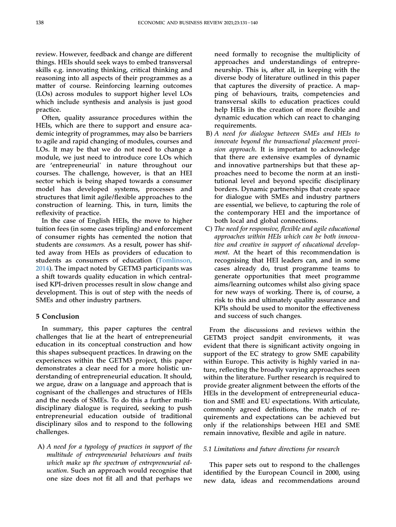review. However, feedback and change are different things. HEIs should seek ways to embed transversal skills e.g. innovating thinking, critical thinking and reasoning into all aspects of their programmes as a matter of course. Reinforcing learning outcomes (LOs) across modules to support higher level LOs which include synthesis and analysis is just good practice.

Often, quality assurance procedures within the HEIs, which are there to support and ensure academic integrity of programmes, may also be barriers to agile and rapid changing of modules, courses and LOs. It may be that we do not need to change a module, we just need to introduce core LOs which are 'entrepreneurial' in nature throughout our courses. The challenge, however, is that an HEI sector which is being shaped towards a consumer model has developed systems, processes and structures that limit agile/flexible approaches to the construction of learning. This, in turn, limits the reflexivity of practice.

In the case of English HEIs, the move to higher tuition fees (in some cases tripling) and enforcement of consumer rights has cemented the notion that students are consumers. As a result, power has shifted away from HEIs as providers of education to students as consumers of education [\(Tomlinson,](#page-11-12) [2014\)](#page-11-12). The impact noted by GETM3 participants was a shift towards quality education in which centralised KPI-driven processes result in slow change and development. This is out of step with the needs of SMEs and other industry partners.

# 5 Conclusion

In summary, this paper captures the central challenges that lie at the heart of entrepreneurial education in its conceptual construction and how this shapes subsequent practices. In drawing on the experiences within the GETM3 project, this paper demonstrates a clear need for a more holistic understanding of entrepreneurial education. It should, we argue, draw on a language and approach that is cognisant of the challenges and structures of HEIs and the needs of SMEs. To do this a further multidisciplinary dialogue is required, seeking to push entrepreneurial education outside of traditional disciplinary silos and to respond to the following challenges.

A) A need for a typology of practices in support of the multitude of entrepreneurial behaviours and traits which make up the spectrum of entrepreneurial education. Such an approach would recognise that one size does not fit all and that perhaps we

need formally to recognise the multiplicity of approaches and understandings of entrepreneurship. This is, after all, in keeping with the diverse body of literature outlined in this paper that captures the diversity of practice. A mapping of behaviours, traits, competencies and transversal skills to education practices could help HEIs in the creation of more flexible and dynamic education which can react to changing requirements.

- B) A need for dialogue between SMEs and HEIs to innovate beyond the transactional placement provision approach. It is important to acknowledge that there are extensive examples of dynamic and innovative partnerships but that these approaches need to become the norm at an institutional level and beyond specific disciplinary borders. Dynamic partnerships that create space for dialogue with SMEs and industry partners are essential, we believe, to capturing the role of the contemporary HEI and the importance of both local and global connections.
- C) The need for responsive, flexible and agile educational approaches within HEIs which can be both innovative and creative in support of educational development. At the heart of this recommendation is recognising that HEI leaders can, and in some cases already do, trust programme teams to generate opportunities that meet programme aims/learning outcomes whilst also giving space for new ways of working. There is, of course, a risk to this and ultimately quality assurance and KPIs should be used to monitor the effectiveness and success of such changes.

From the discussions and reviews within the GETM3 project sandpit environments, it was evident that there is significant activity ongoing in support of the EC strategy to grow SME capability within Europe. This activity is highly varied in nature, reflecting the broadly varying approaches seen within the literature. Further research is required to provide greater alignment between the efforts of the HEIs in the development of entrepreneurial education and SME and EU expectations. With articulate, commonly agreed definitions, the match of requirements and expectations can be achieved but only if the relationships between HEI and SME remain innovative, flexible and agile in nature.

# 5.1 Limitations and future directions for research

This paper sets out to respond to the challenges identified by the European Council in 2000, using new data, ideas and recommendations around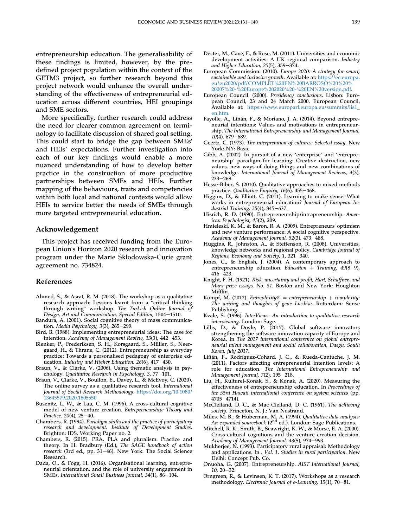entrepreneurship education. The generalisability of these findings is limited, however, by the predefined project population within the context of the GETM3 project, so further research beyond this project network would enhance the overall understanding of the effectiveness of entrepreneurial education across different countries, HEI groupings and SME sectors.

More specifically, further research could address the need for clearer common agreement on terminology to facilitate discussion of shared goal setting. This could start to bridge the gap between SMEs' and HEIs' expectations. Further investigation into each of our key findings would enable a more nuanced understanding of how to develop better practice in the construction of more productive partnerships between SMEs and HEIs. Further mapping of the behaviours, traits and competencies within both local and national contexts would allow HEIs to service better the needs of SMEs through more targeted entrepreneurial education.

### Acknowledgement

This project has received funding from the European Union's Horizon 2020 research and innovation program under the Marie Sklodowska-Curie grant agreement no. 734824.

#### References

- <span id="page-10-28"></span>[Ahmed, S., & Asraf, R. M. \(2018\). The workshop as a qualitative](http://refhub.elsevier.com/S0958-6946(21)00097-2/sref1) [research approach: Lessons learnt from a](http://refhub.elsevier.com/S0958-6946(21)00097-2/sref1) "critical thinking research approach: Lessons learnt from a "critical thinking through writing" workshop. [The Turkish Online Journal of](http://refhub.elsevier.com/S0958-6946(21)00097-2/sref1) [Design, Art and Communication, Special Edition](http://refhub.elsevier.com/S0958-6946(21)00097-2/sref1), 1504-[1510.](http://refhub.elsevier.com/S0958-6946(21)00097-2/sref1)
- <span id="page-10-11"></span>[Bandura, A. \(2001\). Social cognitive theory of mass communica](http://refhub.elsevier.com/S0958-6946(21)00097-2/sref2)tion. Media Psychology,  $3(3)$ ,  $265-299$ .
- <span id="page-10-3"></span>[Bird, B. \(1988\). Implementing entrepreneurial ideas: The case for](http://refhub.elsevier.com/S0958-6946(21)00097-2/sref3) intention. [Academy of Management Review, 13](http://refhub.elsevier.com/S0958-6946(21)00097-2/sref3)(3), 442-[453.](http://refhub.elsevier.com/S0958-6946(21)00097-2/sref3)
- <span id="page-10-13"></span>[Blenker, P., Frederiksen, S. H., Korsgaard, S., Müller, S., Neer](http://refhub.elsevier.com/S0958-6946(21)00097-2/sref4)[gaard, H., & Thrane, C. \(2012\). Entrepreneurship as everyday](http://refhub.elsevier.com/S0958-6946(21)00097-2/sref4) [practice: Towards a personalised pedagogy of enterprise ed](http://refhub.elsevier.com/S0958-6946(21)00097-2/sref4)ucation. Industry and Higher Education,  $26(6)$ , 417-[430.](http://refhub.elsevier.com/S0958-6946(21)00097-2/sref4)
- <span id="page-10-30"></span>[Braun, V., & Clarke, V. \(2006\). Using thematic analysis in psy-](http://refhub.elsevier.com/S0958-6946(21)00097-2/sref5)chology. [Qualitative Research in Psychology, 3](http://refhub.elsevier.com/S0958-6946(21)00097-2/sref5), 77-[101.](http://refhub.elsevier.com/S0958-6946(21)00097-2/sref5)
- <span id="page-10-26"></span>Braun, V., Clarke, V., Boulton, E., Davey, L., & McEvoy, C. (2020). The online survey as a qualitative research tool. International Journal of Social Research Methodology. [https://doi.org/10.1080/](https://doi.org/10.1080/13645579.2020.1805550) [13645579.2020.1805550](https://doi.org/10.1080/13645579.2020.1805550)
- <span id="page-10-5"></span>[Busenitz, L. W., & Lau, C. M. \(1996\). A cross-cultural cognitive](http://refhub.elsevier.com/S0958-6946(21)00097-2/sref7) [model of new venture creation.](http://refhub.elsevier.com/S0958-6946(21)00097-2/sref7) Entrepreneurship: Theory and [Practice, 20](http://refhub.elsevier.com/S0958-6946(21)00097-2/sref7)(4), 25-[40.](http://refhub.elsevier.com/S0958-6946(21)00097-2/sref7)
- <span id="page-10-22"></span>Chambers, R. (1994). [Paradigm shifts and the practice of participatory](http://refhub.elsevier.com/S0958-6946(21)00097-2/sref8) [research and development. Institute of Development Studies](http://refhub.elsevier.com/S0958-6946(21)00097-2/sref8). [Brighton: IDS. Working Paper no. 2.](http://refhub.elsevier.com/S0958-6946(21)00097-2/sref8)
- <span id="page-10-24"></span>[Chambers, R. \(2015\). PRA, PLA and pluralism: Practice and](http://refhub.elsevier.com/S0958-6946(21)00097-2/sref9) [theory. In H. Bradbury \(Ed.\),](http://refhub.elsevier.com/S0958-6946(21)00097-2/sref9) The SAGE handbook of action research [\(3rd ed., pp. 31](http://refhub.elsevier.com/S0958-6946(21)00097-2/sref9)-[46\). New York: The Social Science](http://refhub.elsevier.com/S0958-6946(21)00097-2/sref9) [Research.](http://refhub.elsevier.com/S0958-6946(21)00097-2/sref9)
- <span id="page-10-31"></span>[Dada, O., & Fogg, H. \(2016\). Organisational learning, entrepre](http://refhub.elsevier.com/S0958-6946(21)00097-2/sref10)[neurial orientation, and the role of university engagement in](http://refhub.elsevier.com/S0958-6946(21)00097-2/sref10) SMEs. International Small Business Journal,  $34(1)$ ,  $86-104$ .
- <span id="page-10-32"></span>[Decter, M., Cave, F., & Rose, M. \(2011\). Universities and economic](http://refhub.elsevier.com/S0958-6946(21)00097-2/sref11) [development activities: A UK regional comparison.](http://refhub.elsevier.com/S0958-6946(21)00097-2/sref11) Industry and Higher Education,  $25(5)$ ,  $359-374$ .
- <span id="page-10-1"></span>European Commission. (2010). Europe 2020: A strategy for smart, sustainable and inclusive growth. Available at: [https://ec.europa.](https://ec.europa.eu/eu2020/pdf/COMPLET%20EN%20BARROSO%20%20%20007%20-%20Europe%202020%20-%20EN%20version.pdf) [eu/eu2020/pdf/COMPLET%20EN%20BARROSO%20%20%](https://ec.europa.eu/eu2020/pdf/COMPLET%20EN%20BARROSO%20%20%20007%20-%20Europe%202020%20-%20EN%20version.pdf) [20007%20-%20Europe%202020%20-%20EN%20version.pdf](https://ec.europa.eu/eu2020/pdf/COMPLET%20EN%20BARROSO%20%20%20007%20-%20Europe%202020%20-%20EN%20version.pdf).
- <span id="page-10-0"></span>European Council. (2000). Presidency conclusions. Lisbon: European Council, 23 and 24 March 2000. European Council. Available at: [https://www.europarl.europa.eu/summits/lis1\\_](https://www.europarl.europa.eu/summits/lis1_en.htm) [en.htm.](https://www.europarl.europa.eu/summits/lis1_en.htm)
- <span id="page-10-4"></span>Fayolle, A., Liñá[n, F., & Moriano, J. A. \(2014\). Beyond entrepre](http://refhub.elsevier.com/S0958-6946(21)00097-2/sref14)[neurial intentions: Values and motivations in entrepreneur](http://refhub.elsevier.com/S0958-6946(21)00097-2/sref14)ship. [The International Entrepreneurship and Management Journal,](http://refhub.elsevier.com/S0958-6946(21)00097-2/sref14)  $10(4)$ , 679–[689.](http://refhub.elsevier.com/S0958-6946(21)00097-2/sref14)
- <span id="page-10-21"></span>Geertz, C. (1973). [The interpretation of cultures: Selected essay](http://refhub.elsevier.com/S0958-6946(21)00097-2/sref47). New [York: NY: Basic.](http://refhub.elsevier.com/S0958-6946(21)00097-2/sref47)
- <span id="page-10-15"></span>[Gibb, A. \(2002\). In pursuit of a new](http://refhub.elsevier.com/S0958-6946(21)00097-2/sref15) 'enterprise' and 'entrepreneurship' [paradigm for learning: Creative destruction, new](http://refhub.elsevier.com/S0958-6946(21)00097-2/sref15) [values, new ways of doing things and new combinations of](http://refhub.elsevier.com/S0958-6946(21)00097-2/sref15) knowledge. [International Journal of Management Reviews, 4](http://refhub.elsevier.com/S0958-6946(21)00097-2/sref15)(3), [233](http://refhub.elsevier.com/S0958-6946(21)00097-2/sref15)-269
- <span id="page-10-20"></span>[Hesse-Biber, S. \(2010\). Qualitative approaches to mixed methods](http://refhub.elsevier.com/S0958-6946(21)00097-2/sref16) practice. [Qualitative Enquiry, 16](http://refhub.elsevier.com/S0958-6946(21)00097-2/sref16)(6), 455-[468](http://refhub.elsevier.com/S0958-6946(21)00097-2/sref16).
- <span id="page-10-19"></span>[Higgins, D., & Elliott, C. \(2011\). Learning to make sense: What](http://refhub.elsevier.com/S0958-6946(21)00097-2/sref17) [works in entrepreneurial education?](http://refhub.elsevier.com/S0958-6946(21)00097-2/sref17) Journal of European Industrial Training,  $35(4)$ ,  $345-637$ .
- <span id="page-10-8"></span>[Hisrich, R. D. \(1990\). Entrepreneurship/intrapreneurship.](http://refhub.elsevier.com/S0958-6946(21)00097-2/sref18) Amer[ican Psychologist, 45](http://refhub.elsevier.com/S0958-6946(21)00097-2/sref18)(2), 209.
- <span id="page-10-12"></span>[Hmieleski, K. M., & Baron, R. A. \(2009\). Entrepreneurs](http://refhub.elsevier.com/S0958-6946(21)00097-2/sref19)' optimism [and new venture performance: A social cognitive perspective.](http://refhub.elsevier.com/S0958-6946(21)00097-2/sref19) [Academy of Management Journal, 52](http://refhub.elsevier.com/S0958-6946(21)00097-2/sref19)(3), 473-[488](http://refhub.elsevier.com/S0958-6946(21)00097-2/sref19).
- <span id="page-10-33"></span>[Huggins, R., Johnston, A., & Steffenson, R. \(2008\). Universities,](http://refhub.elsevier.com/S0958-6946(21)00097-2/sref20) [knowledge networks and regional policy.](http://refhub.elsevier.com/S0958-6946(21)00097-2/sref20) Cambridge Journal of Regions, Economy and Society,  $1, 321-340$ .
- <span id="page-10-14"></span>[Jones, C., & English, J. \(2004\). A contemporary approach to](http://refhub.elsevier.com/S0958-6946(21)00097-2/sref21) [entrepreneurship education.](http://refhub.elsevier.com/S0958-6946(21)00097-2/sref21) Education + Training,  $49(8-9)$ ,  $416 - 423$  $416 - 423$ .
- <span id="page-10-7"></span>Knight, F. H. (1921). [Risk, uncertainty and pro](http://refhub.elsevier.com/S0958-6946(21)00097-2/sref22)fit, Hart, Schaffner, and Marx prize essays, No. 31[. Boston and New York: Houghton](http://refhub.elsevier.com/S0958-6946(21)00097-2/sref22) [Mif](http://refhub.elsevier.com/S0958-6946(21)00097-2/sref22)flin.
- <span id="page-10-18"></span>[Kompf, M. \(2012\).](http://refhub.elsevier.com/S0958-6946(21)00097-2/sref23) Entreplexity® = [entrepreneurship](http://refhub.elsevier.com/S0958-6946(21)00097-2/sref23) + [complexity:](http://refhub.elsevier.com/S0958-6946(21)00097-2/sref23) [The writing and thoughts of gene Liczkiw](http://refhub.elsevier.com/S0958-6946(21)00097-2/sref23). Rotterdam: Sense [Publishing.](http://refhub.elsevier.com/S0958-6946(21)00097-2/sref23)
- <span id="page-10-25"></span>Kvale, S. (1996). [InterViews: An introduction to qualitative research](http://refhub.elsevier.com/S0958-6946(21)00097-2/sref24) interviewing[. London: Sage.](http://refhub.elsevier.com/S0958-6946(21)00097-2/sref24)
- <span id="page-10-2"></span>[Lillis, D., & Doyle, P. \(2017\). Global software innovators](http://refhub.elsevier.com/S0958-6946(21)00097-2/sref25) [strengthening the software innovation capacity of Europe and](http://refhub.elsevier.com/S0958-6946(21)00097-2/sref25) Korea. In [The 2017 international conference on global entrepre](http://refhub.elsevier.com/S0958-6946(21)00097-2/sref25)[neurial talent management and social collaboration, Daegu, South](http://refhub.elsevier.com/S0958-6946(21)00097-2/sref25) [Korea, july 2017](http://refhub.elsevier.com/S0958-6946(21)00097-2/sref25).
- <span id="page-10-17"></span>[Li](http://refhub.elsevier.com/S0958-6946(21)00097-2/sref26)ñán, F., Rodrí[guez-Cohard, J. C., & Rueda-Cantuche, J. M.](http://refhub.elsevier.com/S0958-6946(21)00097-2/sref26) [\(2011\). Factors affecting entrepreneurial intention levels: A](http://refhub.elsevier.com/S0958-6946(21)00097-2/sref26) role for education. [The International Entrepreneurship and](http://refhub.elsevier.com/S0958-6946(21)00097-2/sref26) [Management Journal, 7](http://refhub.elsevier.com/S0958-6946(21)00097-2/sref26)(2), 195-[218](http://refhub.elsevier.com/S0958-6946(21)00097-2/sref26).
- <span id="page-10-16"></span>[Liu, H., Kulturel-Konak, S., & Konak, A. \(2020\). Measuring the](http://refhub.elsevier.com/S0958-6946(21)00097-2/sref27) [effectiveness of entrepreneurship education. In](http://refhub.elsevier.com/S0958-6946(21)00097-2/sref27) Proceedings of [the 53rd Hawaii international conference on system sciences](http://refhub.elsevier.com/S0958-6946(21)00097-2/sref27) (pp.  $4705 - 4714$  $4705 - 4714$ ).
- <span id="page-10-10"></span>[McClelland, D. C., & Mac Clelland, D. C. \(1961\).](http://refhub.elsevier.com/S0958-6946(21)00097-2/sref28) The achieving society[. Princeton, N. J.: Van Nostrand.](http://refhub.elsevier.com/S0958-6946(21)00097-2/sref28)
- <span id="page-10-29"></span>[Miles, M. B., & Huberman, M. A. \(1994\).](http://refhub.elsevier.com/S0958-6946(21)00097-2/sref29) Qualitative data analysis: [An](http://refhub.elsevier.com/S0958-6946(21)00097-2/sref29) [expanded](http://refhub.elsevier.com/S0958-6946(21)00097-2/sref29) [sourcebook](http://refhub.elsevier.com/S0958-6946(21)00097-2/sref29) (2<sup>nd</sup> [ed.\). London: Sage Publications](http://refhub.elsevier.com/S0958-6946(21)00097-2/sref29).
- <span id="page-10-6"></span>[Mitchell, R. K., Smith, B., Seawright, K. W., & Morse, E. A. \(2000\).](http://refhub.elsevier.com/S0958-6946(21)00097-2/sref30) [Cross-cultural cognitions and the venture creation decision.](http://refhub.elsevier.com/S0958-6946(21)00097-2/sref30) [Academy of Management Journal, 43](http://refhub.elsevier.com/S0958-6946(21)00097-2/sref30)(5), 974-[993](http://refhub.elsevier.com/S0958-6946(21)00097-2/sref30).
- <span id="page-10-23"></span>[Mukherjee, N. \(1993\). Participatory rural appraisal: Methodology](http://refhub.elsevier.com/S0958-6946(21)00097-2/sref31) and applications. In , Vol. 1. [Studies in rural participation](http://refhub.elsevier.com/S0958-6946(21)00097-2/sref31). New [Delhi: Concept Pub. Co](http://refhub.elsevier.com/S0958-6946(21)00097-2/sref31).
- <span id="page-10-9"></span>[Onuoha, G. \(2007\). Entrepreneurship.](http://refhub.elsevier.com/S0958-6946(21)00097-2/sref32) AIST International Journal,  $10, 20 - 32.$  $10, 20 - 32.$  $10, 20 - 32.$  $10, 20 - 32.$
- <span id="page-10-27"></span>Ø[rngreen, R., & Levinsen, K. T. \(2017\). Workshops as a research](http://refhub.elsevier.com/S0958-6946(21)00097-2/sref33) methodology. [Electronic Journal of e-Learning, 15](http://refhub.elsevier.com/S0958-6946(21)00097-2/sref33)(1), 70-[81](http://refhub.elsevier.com/S0958-6946(21)00097-2/sref33).